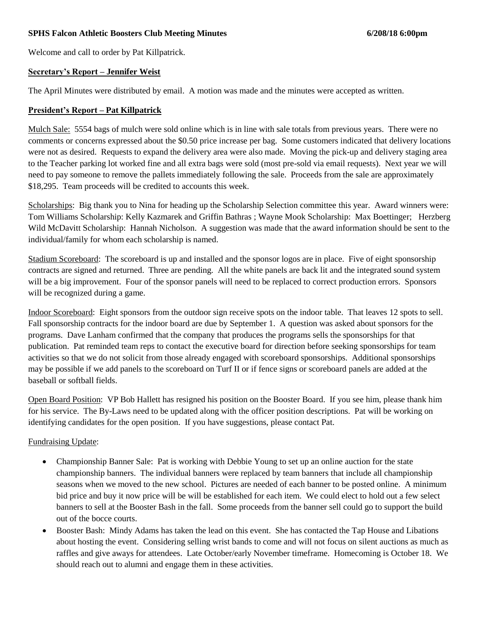## **SPHS Falcon Athletic Boosters Club Meeting Minutes 6/208/18 6:00pm**

Welcome and call to order by Pat Killpatrick.

## **Secretary's Report – Jennifer Weist**

The April Minutes were distributed by email. A motion was made and the minutes were accepted as written.

#### **President's Report – Pat Killpatrick**

Mulch Sale: 5554 bags of mulch were sold online which is in line with sale totals from previous years. There were no comments or concerns expressed about the \$0.50 price increase per bag. Some customers indicated that delivery locations were not as desired. Requests to expand the delivery area were also made. Moving the pick-up and delivery staging area to the Teacher parking lot worked fine and all extra bags were sold (most pre-sold via email requests). Next year we will need to pay someone to remove the pallets immediately following the sale. Proceeds from the sale are approximately \$18,295. Team proceeds will be credited to accounts this week.

Scholarships: Big thank you to Nina for heading up the Scholarship Selection committee this year. Award winners were: Tom Williams Scholarship: Kelly Kazmarek and Griffin Bathras ; Wayne Mook Scholarship: Max Boettinger; Herzberg Wild McDavitt Scholarship: Hannah Nicholson. A suggestion was made that the award information should be sent to the individual/family for whom each scholarship is named.

Stadium Scoreboard: The scoreboard is up and installed and the sponsor logos are in place. Five of eight sponsorship contracts are signed and returned. Three are pending. All the white panels are back lit and the integrated sound system will be a big improvement. Four of the sponsor panels will need to be replaced to correct production errors. Sponsors will be recognized during a game.

Indoor Scoreboard: Eight sponsors from the outdoor sign receive spots on the indoor table. That leaves 12 spots to sell. Fall sponsorship contracts for the indoor board are due by September 1. A question was asked about sponsors for the programs. Dave Lanham confirmed that the company that produces the programs sells the sponsorships for that publication. Pat reminded team reps to contact the executive board for direction before seeking sponsorships for team activities so that we do not solicit from those already engaged with scoreboard sponsorships. Additional sponsorships may be possible if we add panels to the scoreboard on Turf II or if fence signs or scoreboard panels are added at the baseball or softball fields.

Open Board Position: VP Bob Hallett has resigned his position on the Booster Board. If you see him, please thank him for his service. The By-Laws need to be updated along with the officer position descriptions. Pat will be working on identifying candidates for the open position. If you have suggestions, please contact Pat.

## Fundraising Update:

- Championship Banner Sale: Pat is working with Debbie Young to set up an online auction for the state championship banners. The individual banners were replaced by team banners that include all championship seasons when we moved to the new school. Pictures are needed of each banner to be posted online. A minimum bid price and buy it now price will be will be established for each item. We could elect to hold out a few select banners to sell at the Booster Bash in the fall. Some proceeds from the banner sell could go to support the build out of the bocce courts.
- Booster Bash: Mindy Adams has taken the lead on this event. She has contacted the Tap House and Libations about hosting the event. Considering selling wrist bands to come and will not focus on silent auctions as much as raffles and give aways for attendees. Late October/early November timeframe. Homecoming is October 18. We should reach out to alumni and engage them in these activities.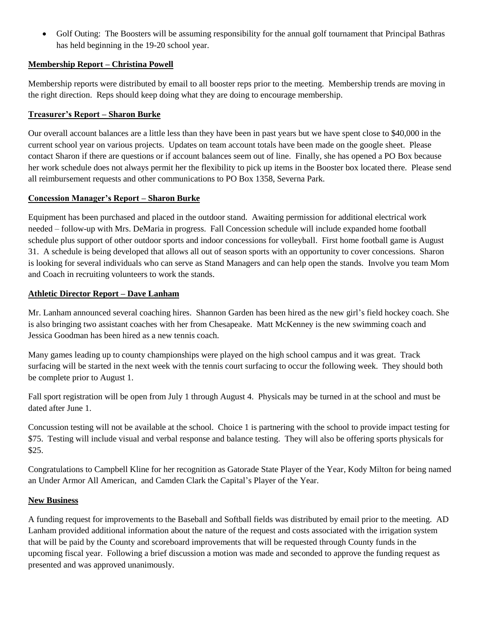Golf Outing: The Boosters will be assuming responsibility for the annual golf tournament that Principal Bathras has held beginning in the 19-20 school year.

# **Membership Report – Christina Powell**

Membership reports were distributed by email to all booster reps prior to the meeting. Membership trends are moving in the right direction. Reps should keep doing what they are doing to encourage membership.

# **Treasurer's Report – Sharon Burke**

Our overall account balances are a little less than they have been in past years but we have spent close to \$40,000 in the current school year on various projects. Updates on team account totals have been made on the google sheet. Please contact Sharon if there are questions or if account balances seem out of line. Finally, she has opened a PO Box because her work schedule does not always permit her the flexibility to pick up items in the Booster box located there. Please send all reimbursement requests and other communications to PO Box 1358, Severna Park.

## **Concession Manager's Report – Sharon Burke**

Equipment has been purchased and placed in the outdoor stand. Awaiting permission for additional electrical work needed – follow-up with Mrs. DeMaria in progress. Fall Concession schedule will include expanded home football schedule plus support of other outdoor sports and indoor concessions for volleyball. First home football game is August 31. A schedule is being developed that allows all out of season sports with an opportunity to cover concessions. Sharon is looking for several individuals who can serve as Stand Managers and can help open the stands. Involve you team Mom and Coach in recruiting volunteers to work the stands.

## **Athletic Director Report – Dave Lanham**

Mr. Lanham announced several coaching hires. Shannon Garden has been hired as the new girl's field hockey coach. She is also bringing two assistant coaches with her from Chesapeake. Matt McKenney is the new swimming coach and Jessica Goodman has been hired as a new tennis coach.

Many games leading up to county championships were played on the high school campus and it was great. Track surfacing will be started in the next week with the tennis court surfacing to occur the following week. They should both be complete prior to August 1.

Fall sport registration will be open from July 1 through August 4. Physicals may be turned in at the school and must be dated after June 1.

Concussion testing will not be available at the school. Choice 1 is partnering with the school to provide impact testing for \$75. Testing will include visual and verbal response and balance testing. They will also be offering sports physicals for \$25.

Congratulations to Campbell Kline for her recognition as Gatorade State Player of the Year, Kody Milton for being named an Under Armor All American, and Camden Clark the Capital's Player of the Year.

## **New Business**

A funding request for improvements to the Baseball and Softball fields was distributed by email prior to the meeting. AD Lanham provided additional information about the nature of the request and costs associated with the irrigation system that will be paid by the County and scoreboard improvements that will be requested through County funds in the upcoming fiscal year. Following a brief discussion a motion was made and seconded to approve the funding request as presented and was approved unanimously.